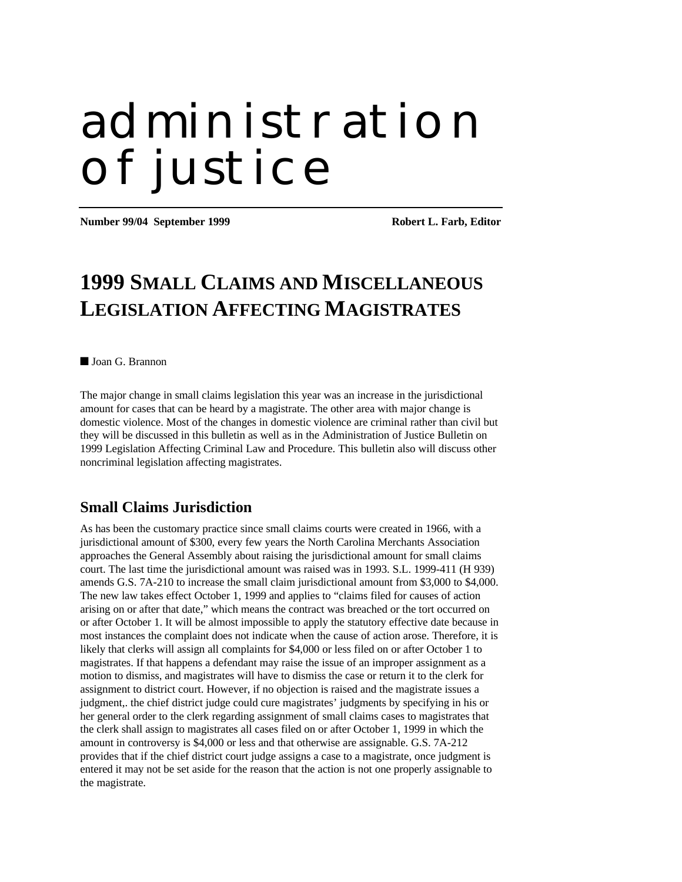# administration of justice

**Number 99/04 September 1999 Robert L. Farb, Editor** 

## **1999 SMALL CLAIMS AND MISCELLANEOUS LEGISLATION AFFECTING MAGISTRATES**

Joan G. Brannon

The major change in small claims legislation this year was an increase in the jurisdictional amount for cases that can be heard by a magistrate. The other area with major change is domestic violence. Most of the changes in domestic violence are criminal rather than civil but they will be discussed in this bulletin as well as in the Administration of Justice Bulletin on 1999 Legislation Affecting Criminal Law and Procedure. This bulletin also will discuss other noncriminal legislation affecting magistrates.

#### **Small Claims Jurisdiction**

As has been the customary practice since small claims courts were created in 1966, with a jurisdictional amount of \$300, every few years the North Carolina Merchants Association approaches the General Assembly about raising the jurisdictional amount for small claims court. The last time the jurisdictional amount was raised was in 1993. S.L. 1999-411 (H 939) amends G.S. 7A-210 to increase the small claim jurisdictional amount from \$3,000 to \$4,000. The new law takes effect October 1, 1999 and applies to "claims filed for causes of action arising on or after that date," which means the contract was breached or the tort occurred on or after October 1. It will be almost impossible to apply the statutory effective date because in most instances the complaint does not indicate when the cause of action arose. Therefore, it is likely that clerks will assign all complaints for \$4,000 or less filed on or after October 1 to magistrates. If that happens a defendant may raise the issue of an improper assignment as a motion to dismiss, and magistrates will have to dismiss the case or return it to the clerk for assignment to district court. However, if no objection is raised and the magistrate issues a judgment,. the chief district judge could cure magistrates' judgments by specifying in his or her general order to the clerk regarding assignment of small claims cases to magistrates that the clerk shall assign to magistrates all cases filed on or after October 1, 1999 in which the amount in controversy is \$4,000 or less and that otherwise are assignable. G.S. 7A-212 provides that if the chief district court judge assigns a case to a magistrate, once judgment is entered it may not be set aside for the reason that the action is not one properly assignable to the magistrate.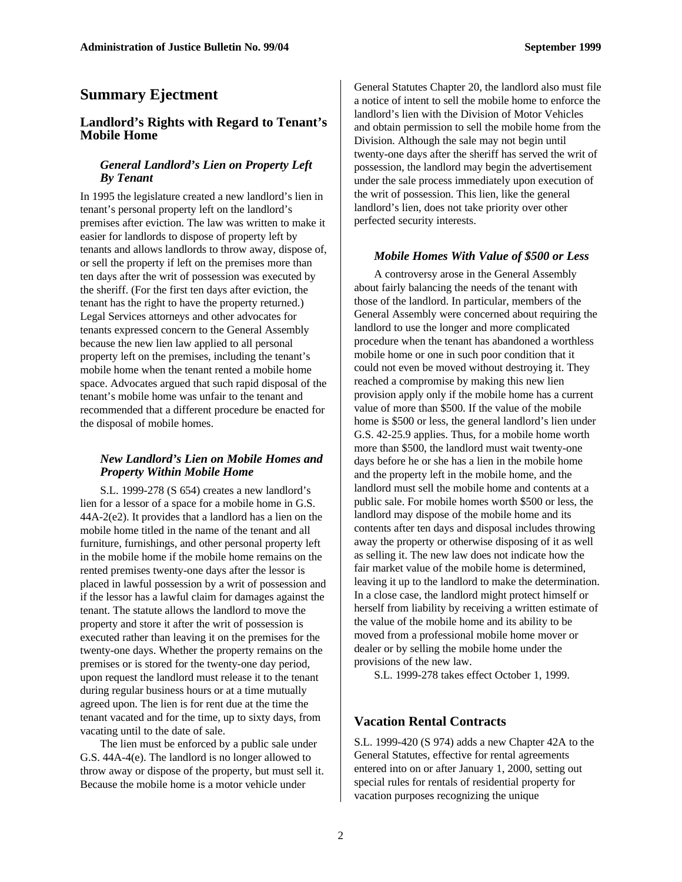#### **Summary Ejectment**

#### **Landlord's Rights with Regard to Tenant's Mobile Home**

#### *General Landlord's Lien on Property Left By Tenant*

In 1995 the legislature created a new landlord's lien in tenant's personal property left on the landlord's premises after eviction. The law was written to make it easier for landlords to dispose of property left by tenants and allows landlords to throw away, dispose of, or sell the property if left on the premises more than ten days after the writ of possession was executed by the sheriff. (For the first ten days after eviction, the tenant has the right to have the property returned.) Legal Services attorneys and other advocates for tenants expressed concern to the General Assembly because the new lien law applied to all personal property left on the premises, including the tenant's mobile home when the tenant rented a mobile home space. Advocates argued that such rapid disposal of the tenant's mobile home was unfair to the tenant and recommended that a different procedure be enacted for the disposal of mobile homes.

#### *New Landlord's Lien on Mobile Homes and Property Within Mobile Home*

S.L. 1999-278 (S 654) creates a new landlord's lien for a lessor of a space for a mobile home in G.S. 44A-2(e2). It provides that a landlord has a lien on the mobile home titled in the name of the tenant and all furniture, furnishings, and other personal property left in the mobile home if the mobile home remains on the rented premises twenty-one days after the lessor is placed in lawful possession by a writ of possession and if the lessor has a lawful claim for damages against the tenant. The statute allows the landlord to move the property and store it after the writ of possession is executed rather than leaving it on the premises for the twenty-one days. Whether the property remains on the premises or is stored for the twenty-one day period, upon request the landlord must release it to the tenant during regular business hours or at a time mutually agreed upon. The lien is for rent due at the time the tenant vacated and for the time, up to sixty days, from vacating until to the date of sale.

The lien must be enforced by a public sale under G.S. 44A-4(e). The landlord is no longer allowed to throw away or dispose of the property, but must sell it. Because the mobile home is a motor vehicle under

General Statutes Chapter 20, the landlord also must file a notice of intent to sell the mobile home to enforce the landlord's lien with the Division of Motor Vehicles and obtain permission to sell the mobile home from the Division. Although the sale may not begin until twenty-one days after the sheriff has served the writ of possession, the landlord may begin the advertisement under the sale process immediately upon execution of the writ of possession. This lien, like the general landlord's lien, does not take priority over other perfected security interests.

#### *Mobile Homes With Value of \$500 or Less*

A controversy arose in the General Assembly about fairly balancing the needs of the tenant with those of the landlord. In particular, members of the General Assembly were concerned about requiring the landlord to use the longer and more complicated procedure when the tenant has abandoned a worthless mobile home or one in such poor condition that it could not even be moved without destroying it. They reached a compromise by making this new lien provision apply only if the mobile home has a current value of more than \$500. If the value of the mobile home is \$500 or less, the general landlord's lien under G.S. 42-25.9 applies. Thus, for a mobile home worth more than \$500, the landlord must wait twenty-one days before he or she has a lien in the mobile home and the property left in the mobile home, and the landlord must sell the mobile home and contents at a public sale. For mobile homes worth \$500 or less, the landlord may dispose of the mobile home and its contents after ten days and disposal includes throwing away the property or otherwise disposing of it as well as selling it. The new law does not indicate how the fair market value of the mobile home is determined, leaving it up to the landlord to make the determination. In a close case, the landlord might protect himself or herself from liability by receiving a written estimate of the value of the mobile home and its ability to be moved from a professional mobile home mover or dealer or by selling the mobile home under the provisions of the new law.

S.L. 1999-278 takes effect October 1, 1999.

#### **Vacation Rental Contracts**

S.L. 1999-420 (S 974) adds a new Chapter 42A to the General Statutes, effective for rental agreements entered into on or after January 1, 2000, setting out special rules for rentals of residential property for vacation purposes recognizing the unique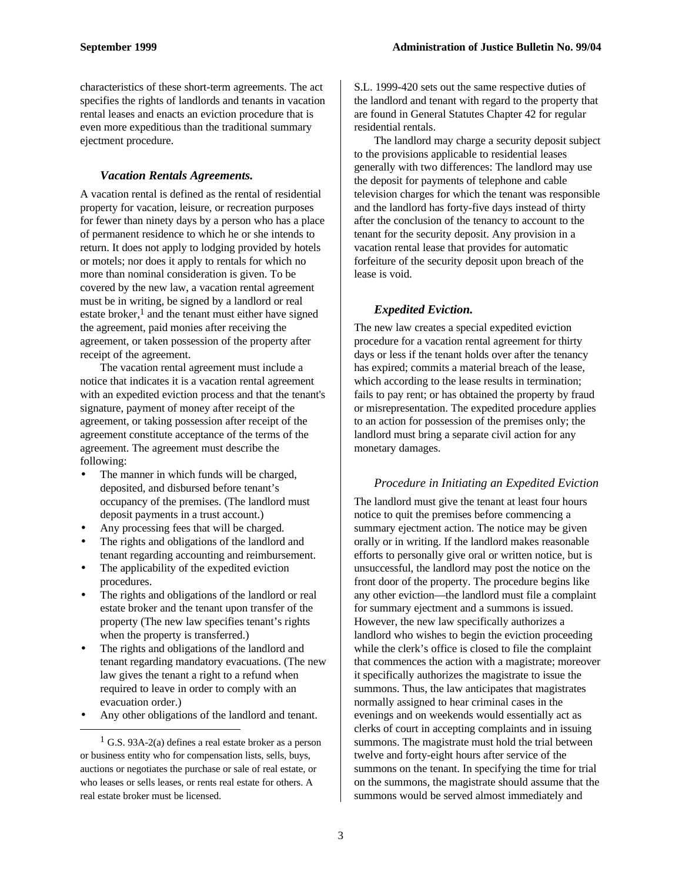characteristics of these short-term agreements. The act specifies the rights of landlords and tenants in vacation rental leases and enacts an eviction procedure that is even more expeditious than the traditional summary ejectment procedure.

#### *Vacation Rentals Agreements.*

A vacation rental is defined as the rental of residential property for vacation, leisure, or recreation purposes for fewer than ninety days by a person who has a place of permanent residence to which he or she intends to return. It does not apply to lodging provided by hotels or motels; nor does it apply to rentals for which no more than nominal consideration is given. To be covered by the new law, a vacation rental agreement must be in writing, be signed by a landlord or real estate broker, $<sup>1</sup>$  and the tenant must either have signed</sup> the agreement, paid monies after receiving the agreement, or taken possession of the property after receipt of the agreement.

The vacation rental agreement must include a notice that indicates it is a vacation rental agreement with an expedited eviction process and that the tenant's signature, payment of money after receipt of the agreement, or taking possession after receipt of the agreement constitute acceptance of the terms of the agreement. The agreement must describe the following:

- The manner in which funds will be charged, deposited, and disbursed before tenant's occupancy of the premises. (The landlord must deposit payments in a trust account.)
- Any processing fees that will be charged.
- The rights and obligations of the landlord and tenant regarding accounting and reimbursement.
- The applicability of the expedited eviction procedures.
- The rights and obligations of the landlord or real estate broker and the tenant upon transfer of the property (The new law specifies tenant's rights when the property is transferred.)
- The rights and obligations of the landlord and tenant regarding mandatory evacuations. (The new law gives the tenant a right to a refund when required to leave in order to comply with an evacuation order.)
- Any other obligations of the landlord and tenant.

-

S.L. 1999-420 sets out the same respective duties of the landlord and tenant with regard to the property that are found in General Statutes Chapter 42 for regular residential rentals.

The landlord may charge a security deposit subject to the provisions applicable to residential leases generally with two differences: The landlord may use the deposit for payments of telephone and cable television charges for which the tenant was responsible and the landlord has forty-five days instead of thirty after the conclusion of the tenancy to account to the tenant for the security deposit. Any provision in a vacation rental lease that provides for automatic forfeiture of the security deposit upon breach of the lease is void.

#### *Expedited Eviction.*

The new law creates a special expedited eviction procedure for a vacation rental agreement for thirty days or less if the tenant holds over after the tenancy has expired; commits a material breach of the lease, which according to the lease results in termination; fails to pay rent; or has obtained the property by fraud or misrepresentation. The expedited procedure applies to an action for possession of the premises only; the landlord must bring a separate civil action for any monetary damages.

#### *Procedure in Initiating an Expedited Eviction*

The landlord must give the tenant at least four hours notice to quit the premises before commencing a summary ejectment action. The notice may be given orally or in writing. If the landlord makes reasonable efforts to personally give oral or written notice, but is unsuccessful, the landlord may post the notice on the front door of the property. The procedure begins like any other eviction—the landlord must file a complaint for summary ejectment and a summons is issued. However, the new law specifically authorizes a landlord who wishes to begin the eviction proceeding while the clerk's office is closed to file the complaint that commences the action with a magistrate; moreover it specifically authorizes the magistrate to issue the summons. Thus, the law anticipates that magistrates normally assigned to hear criminal cases in the evenings and on weekends would essentially act as clerks of court in accepting complaints and in issuing summons. The magistrate must hold the trial between twelve and forty-eight hours after service of the summons on the tenant. In specifying the time for trial on the summons, the magistrate should assume that the summons would be served almost immediately and

 $<sup>1</sup>$  G.S. 93A-2(a) defines a real estate broker as a person</sup> or business entity who for compensation lists, sells, buys, auctions or negotiates the purchase or sale of real estate, or who leases or sells leases, or rents real estate for others. A real estate broker must be licensed.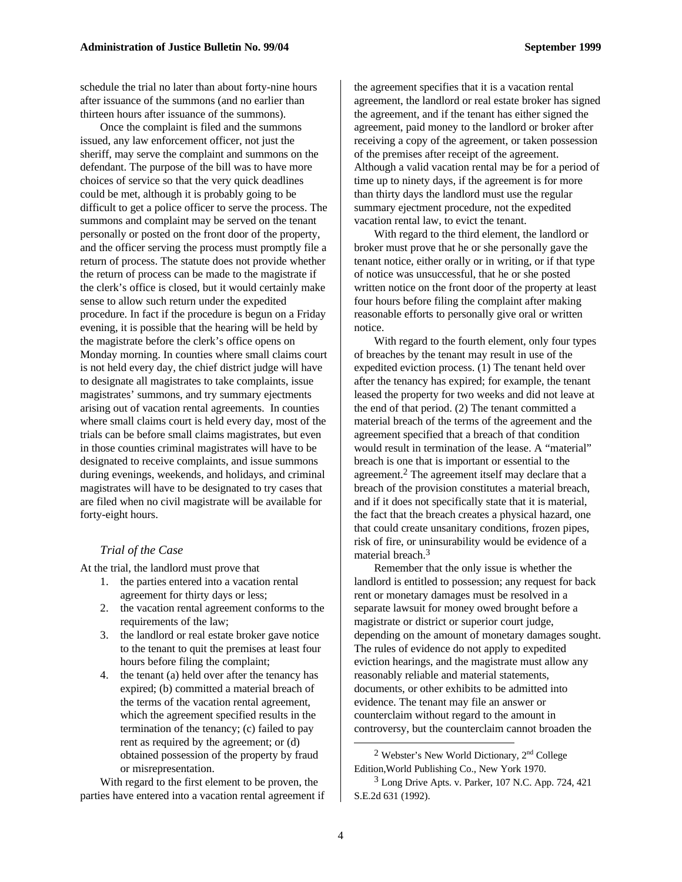schedule the trial no later than about forty-nine hours after issuance of the summons (and no earlier than thirteen hours after issuance of the summons).

Once the complaint is filed and the summons issued, any law enforcement officer, not just the sheriff, may serve the complaint and summons on the defendant. The purpose of the bill was to have more choices of service so that the very quick deadlines could be met, although it is probably going to be difficult to get a police officer to serve the process. The summons and complaint may be served on the tenant personally or posted on the front door of the property, and the officer serving the process must promptly file a return of process. The statute does not provide whether the return of process can be made to the magistrate if the clerk's office is closed, but it would certainly make sense to allow such return under the expedited procedure. In fact if the procedure is begun on a Friday evening, it is possible that the hearing will be held by the magistrate before the clerk's office opens on Monday morning. In counties where small claims court is not held every day, the chief district judge will have to designate all magistrates to take complaints, issue magistrates' summons, and try summary ejectments arising out of vacation rental agreements. In counties where small claims court is held every day, most of the trials can be before small claims magistrates, but even in those counties criminal magistrates will have to be designated to receive complaints, and issue summons during evenings, weekends, and holidays, and criminal magistrates will have to be designated to try cases that are filed when no civil magistrate will be available for forty-eight hours.

#### *Trial of the Case*

At the trial, the landlord must prove that

- 1. the parties entered into a vacation rental agreement for thirty days or less;
- 2. the vacation rental agreement conforms to the requirements of the law;
- 3. the landlord or real estate broker gave notice to the tenant to quit the premises at least four hours before filing the complaint;
- 4. the tenant (a) held over after the tenancy has expired; (b) committed a material breach of the terms of the vacation rental agreement, which the agreement specified results in the termination of the tenancy; (c) failed to pay rent as required by the agreement; or (d) obtained possession of the property by fraud or misrepresentation.

With regard to the first element to be proven, the parties have entered into a vacation rental agreement if the agreement specifies that it is a vacation rental agreement, the landlord or real estate broker has signed the agreement, and if the tenant has either signed the agreement, paid money to the landlord or broker after receiving a copy of the agreement, or taken possession of the premises after receipt of the agreement. Although a valid vacation rental may be for a period of time up to ninety days, if the agreement is for more than thirty days the landlord must use the regular summary ejectment procedure, not the expedited vacation rental law, to evict the tenant.

With regard to the third element, the landlord or broker must prove that he or she personally gave the tenant notice, either orally or in writing, or if that type of notice was unsuccessful, that he or she posted written notice on the front door of the property at least four hours before filing the complaint after making reasonable efforts to personally give oral or written notice.

With regard to the fourth element, only four types of breaches by the tenant may result in use of the expedited eviction process. (1) The tenant held over after the tenancy has expired; for example, the tenant leased the property for two weeks and did not leave at the end of that period. (2) The tenant committed a material breach of the terms of the agreement and the agreement specified that a breach of that condition would result in termination of the lease. A "material" breach is one that is important or essential to the agreement.<sup>2</sup> The agreement itself may declare that a breach of the provision constitutes a material breach, and if it does not specifically state that it is material, the fact that the breach creates a physical hazard, one that could create unsanitary conditions, frozen pipes, risk of fire, or uninsurability would be evidence of a material breach.<sup>3</sup>

Remember that the only issue is whether the landlord is entitled to possession; any request for back rent or monetary damages must be resolved in a separate lawsuit for money owed brought before a magistrate or district or superior court judge, depending on the amount of monetary damages sought. The rules of evidence do not apply to expedited eviction hearings, and the magistrate must allow any reasonably reliable and material statements, documents, or other exhibits to be admitted into evidence. The tenant may file an answer or counterclaim without regard to the amount in controversy, but the counterclaim cannot broaden the

<sup>2</sup> Webster's New World Dictionary,  $2<sup>nd</sup>$  College Edition,World Publishing Co., New York 1970.

<sup>3</sup> Long Drive Apts. v. Parker, 107 N.C. App. 724, 421 S.E.2d 631 (1992).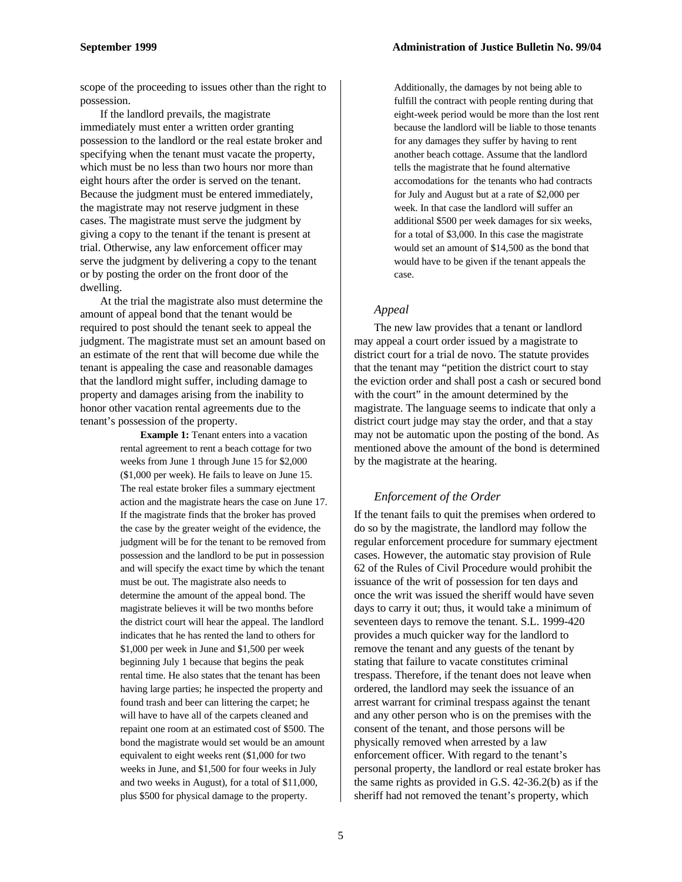scope of the proceeding to issues other than the right to possession.

If the landlord prevails, the magistrate immediately must enter a written order granting possession to the landlord or the real estate broker and specifying when the tenant must vacate the property, which must be no less than two hours nor more than eight hours after the order is served on the tenant. Because the judgment must be entered immediately, the magistrate may not reserve judgment in these cases. The magistrate must serve the judgment by giving a copy to the tenant if the tenant is present at trial. Otherwise, any law enforcement officer may serve the judgment by delivering a copy to the tenant or by posting the order on the front door of the dwelling.

At the trial the magistrate also must determine the amount of appeal bond that the tenant would be required to post should the tenant seek to appeal the judgment. The magistrate must set an amount based on an estimate of the rent that will become due while the tenant is appealing the case and reasonable damages that the landlord might suffer, including damage to property and damages arising from the inability to honor other vacation rental agreements due to the tenant's possession of the property.

> **Example 1:** Tenant enters into a vacation rental agreement to rent a beach cottage for two weeks from June 1 through June 15 for \$2,000 (\$1,000 per week). He fails to leave on June 15. The real estate broker files a summary ejectment action and the magistrate hears the case on June 17. If the magistrate finds that the broker has proved the case by the greater weight of the evidence, the judgment will be for the tenant to be removed from possession and the landlord to be put in possession and will specify the exact time by which the tenant must be out. The magistrate also needs to determine the amount of the appeal bond. The magistrate believes it will be two months before the district court will hear the appeal. The landlord indicates that he has rented the land to others for \$1,000 per week in June and \$1,500 per week beginning July 1 because that begins the peak rental time. He also states that the tenant has been having large parties; he inspected the property and found trash and beer can littering the carpet; he will have to have all of the carpets cleaned and repaint one room at an estimated cost of \$500. The bond the magistrate would set would be an amount equivalent to eight weeks rent (\$1,000 for two weeks in June, and \$1,500 for four weeks in July and two weeks in August), for a total of \$11,000, plus \$500 for physical damage to the property.

Additionally, the damages by not being able to fulfill the contract with people renting during that eight-week period would be more than the lost rent because the landlord will be liable to those tenants for any damages they suffer by having to rent another beach cottage. Assume that the landlord tells the magistrate that he found alternative accomodations for the tenants who had contracts for July and August but at a rate of \$2,000 per week. In that case the landlord will suffer an additional \$500 per week damages for six weeks, for a total of \$3,000. In this case the magistrate would set an amount of \$14,500 as the bond that would have to be given if the tenant appeals the case.

#### *Appeal*

The new law provides that a tenant or landlord may appeal a court order issued by a magistrate to district court for a trial de novo. The statute provides that the tenant may "petition the district court to stay the eviction order and shall post a cash or secured bond with the court" in the amount determined by the magistrate. The language seems to indicate that only a district court judge may stay the order, and that a stay may not be automatic upon the posting of the bond. As mentioned above the amount of the bond is determined by the magistrate at the hearing.

#### *Enforcement of the Order*

If the tenant fails to quit the premises when ordered to do so by the magistrate, the landlord may follow the regular enforcement procedure for summary ejectment cases. However, the automatic stay provision of Rule 62 of the Rules of Civil Procedure would prohibit the issuance of the writ of possession for ten days and once the writ was issued the sheriff would have seven days to carry it out; thus, it would take a minimum of seventeen days to remove the tenant. S.L. 1999-420 provides a much quicker way for the landlord to remove the tenant and any guests of the tenant by stating that failure to vacate constitutes criminal trespass. Therefore, if the tenant does not leave when ordered, the landlord may seek the issuance of an arrest warrant for criminal trespass against the tenant and any other person who is on the premises with the consent of the tenant, and those persons will be physically removed when arrested by a law enforcement officer. With regard to the tenant's personal property, the landlord or real estate broker has the same rights as provided in G.S. 42-36.2(b) as if the sheriff had not removed the tenant's property, which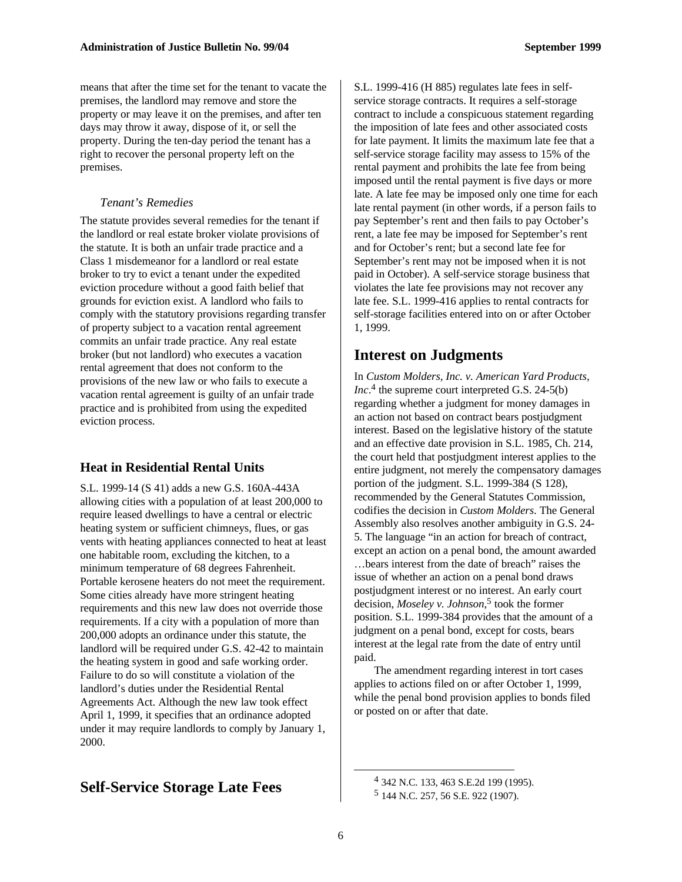means that after the time set for the tenant to vacate the premises, the landlord may remove and store the property or may leave it on the premises, and after ten days may throw it away, dispose of it, or sell the property. During the ten-day period the tenant has a right to recover the personal property left on the premises.

#### *Tenant's Remedies*

The statute provides several remedies for the tenant if the landlord or real estate broker violate provisions of the statute. It is both an unfair trade practice and a Class 1 misdemeanor for a landlord or real estate broker to try to evict a tenant under the expedited eviction procedure without a good faith belief that grounds for eviction exist. A landlord who fails to comply with the statutory provisions regarding transfer of property subject to a vacation rental agreement commits an unfair trade practice. Any real estate broker (but not landlord) who executes a vacation rental agreement that does not conform to the provisions of the new law or who fails to execute a vacation rental agreement is guilty of an unfair trade practice and is prohibited from using the expedited eviction process.

#### **Heat in Residential Rental Units**

S.L. 1999-14 (S 41) adds a new G.S. 160A-443A allowing cities with a population of at least 200,000 to require leased dwellings to have a central or electric heating system or sufficient chimneys, flues, or gas vents with heating appliances connected to heat at least one habitable room, excluding the kitchen, to a minimum temperature of 68 degrees Fahrenheit. Portable kerosene heaters do not meet the requirement. Some cities already have more stringent heating requirements and this new law does not override those requirements. If a city with a population of more than 200,000 adopts an ordinance under this statute, the landlord will be required under G.S. 42-42 to maintain the heating system in good and safe working order. Failure to do so will constitute a violation of the landlord's duties under the Residential Rental Agreements Act. Although the new law took effect April 1, 1999, it specifies that an ordinance adopted under it may require landlords to comply by January 1, 2000.

#### **Self-Service Storage Late Fees**

S.L. 1999-416 (H 885) regulates late fees in selfservice storage contracts. It requires a self-storage contract to include a conspicuous statement regarding the imposition of late fees and other associated costs for late payment. It limits the maximum late fee that a self-service storage facility may assess to 15% of the rental payment and prohibits the late fee from being imposed until the rental payment is five days or more late. A late fee may be imposed only one time for each late rental payment (in other words, if a person fails to pay September's rent and then fails to pay October's rent, a late fee may be imposed for September's rent and for October's rent; but a second late fee for September's rent may not be imposed when it is not paid in October). A self-service storage business that violates the late fee provisions may not recover any late fee. S.L. 1999-416 applies to rental contracts for self-storage facilities entered into on or after October 1, 1999.

#### **Interest on Judgments**

In *Custom Molders, Inc. v. American Yard Products, Inc.*<sup>4</sup> the supreme court interpreted G.S. 24-5(b) regarding whether a judgment for money damages in an action not based on contract bears postjudgment interest. Based on the legislative history of the statute and an effective date provision in S.L. 1985, Ch. 214, the court held that postjudgment interest applies to the entire judgment, not merely the compensatory damages portion of the judgment. S.L. 1999-384 (S 128), recommended by the General Statutes Commission, codifies the decision in *Custom Molders*. The General Assembly also resolves another ambiguity in G.S. 24- 5. The language "in an action for breach of contract, except an action on a penal bond, the amount awarded …bears interest from the date of breach" raises the issue of whether an action on a penal bond draws postjudgment interest or no interest. An early court decision, *Moseley v. Johnson*, 5 took the former position. S.L. 1999-384 provides that the amount of a judgment on a penal bond, except for costs, bears interest at the legal rate from the date of entry until paid.

The amendment regarding interest in tort cases applies to actions filed on or after October 1, 1999, while the penal bond provision applies to bonds filed or posted on or after that date.

<sup>4</sup> 342 N.C. 133, 463 S.E.2d 199 (1995). 5 144 N.C. 257, 56 S.E. 922 (1907).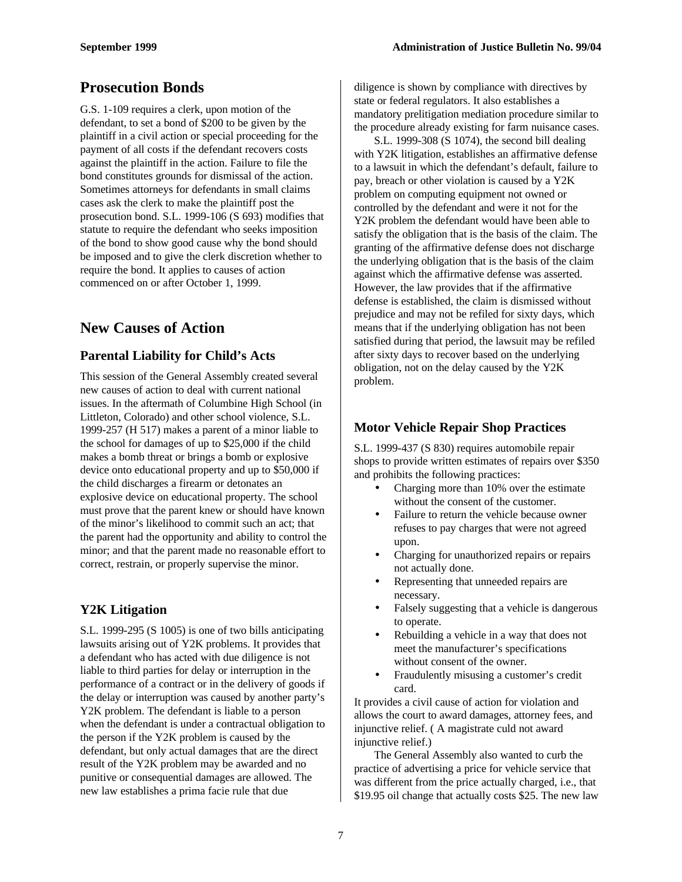### **Prosecution Bonds**

G.S. 1-109 requires a clerk, upon motion of the defendant, to set a bond of \$200 to be given by the plaintiff in a civil action or special proceeding for the payment of all costs if the defendant recovers costs against the plaintiff in the action. Failure to file the bond constitutes grounds for dismissal of the action. Sometimes attorneys for defendants in small claims cases ask the clerk to make the plaintiff post the prosecution bond. S.L. 1999-106 (S 693) modifies that statute to require the defendant who seeks imposition of the bond to show good cause why the bond should be imposed and to give the clerk discretion whether to require the bond. It applies to causes of action commenced on or after October 1, 1999.

#### **New Causes of Action**

#### **Parental Liability for Child's Acts**

This session of the General Assembly created several new causes of action to deal with current national issues. In the aftermath of Columbine High School (in Littleton, Colorado) and other school violence, S.L. 1999-257 (H 517) makes a parent of a minor liable to the school for damages of up to \$25,000 if the child makes a bomb threat or brings a bomb or explosive device onto educational property and up to \$50,000 if the child discharges a firearm or detonates an explosive device on educational property. The school must prove that the parent knew or should have known of the minor's likelihood to commit such an act; that the parent had the opportunity and ability to control the minor; and that the parent made no reasonable effort to correct, restrain, or properly supervise the minor.

#### **Y2K Litigation**

S.L. 1999-295 (S 1005) is one of two bills anticipating lawsuits arising out of Y2K problems. It provides that a defendant who has acted with due diligence is not liable to third parties for delay or interruption in the performance of a contract or in the delivery of goods if the delay or interruption was caused by another party's Y2K problem. The defendant is liable to a person when the defendant is under a contractual obligation to the person if the Y2K problem is caused by the defendant, but only actual damages that are the direct result of the Y2K problem may be awarded and no punitive or consequential damages are allowed. The new law establishes a prima facie rule that due

diligence is shown by compliance with directives by state or federal regulators. It also establishes a mandatory prelitigation mediation procedure similar to the procedure already existing for farm nuisance cases.

S.L. 1999-308 (S 1074), the second bill dealing with Y2K litigation, establishes an affirmative defense to a lawsuit in which the defendant's default, failure to pay, breach or other violation is caused by a Y2K problem on computing equipment not owned or controlled by the defendant and were it not for the Y2K problem the defendant would have been able to satisfy the obligation that is the basis of the claim. The granting of the affirmative defense does not discharge the underlying obligation that is the basis of the claim against which the affirmative defense was asserted. However, the law provides that if the affirmative defense is established, the claim is dismissed without prejudice and may not be refiled for sixty days, which means that if the underlying obligation has not been satisfied during that period, the lawsuit may be refiled after sixty days to recover based on the underlying obligation, not on the delay caused by the Y2K problem.

#### **Motor Vehicle Repair Shop Practices**

S.L. 1999-437 (S 830) requires automobile repair shops to provide written estimates of repairs over \$350 and prohibits the following practices:

- Charging more than 10% over the estimate without the consent of the customer.
- Failure to return the vehicle because owner refuses to pay charges that were not agreed upon.
- Charging for unauthorized repairs or repairs not actually done.
- Representing that unneeded repairs are necessary.
- Falsely suggesting that a vehicle is dangerous to operate.
- Rebuilding a vehicle in a way that does not meet the manufacturer's specifications without consent of the owner.
- Fraudulently misusing a customer's credit card.

It provides a civil cause of action for violation and allows the court to award damages, attorney fees, and injunctive relief. ( A magistrate culd not award injunctive relief.)

The General Assembly also wanted to curb the practice of advertising a price for vehicle service that was different from the price actually charged, i.e., that \$19.95 oil change that actually costs \$25. The new law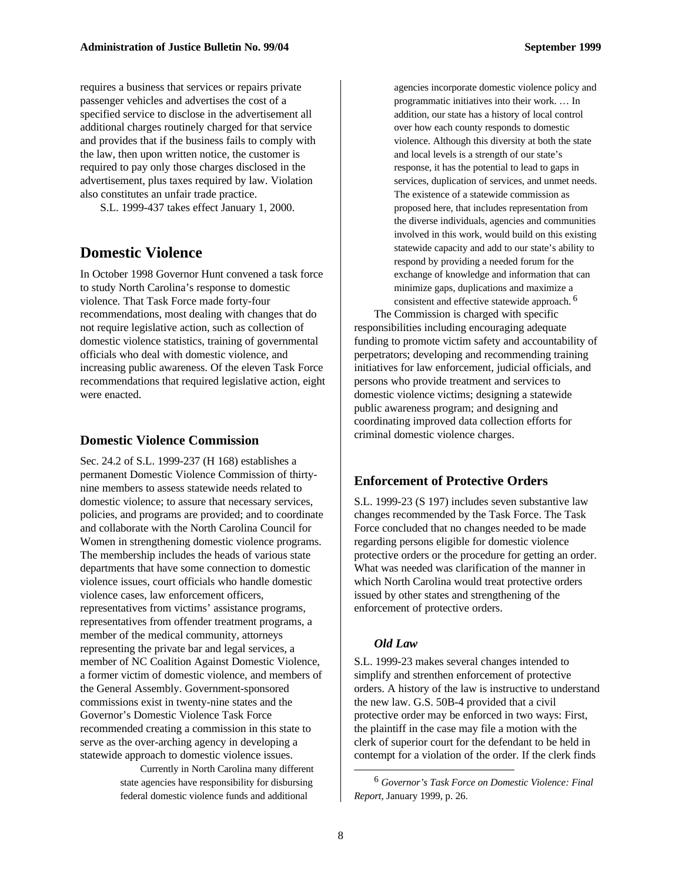requires a business that services or repairs private passenger vehicles and advertises the cost of a specified service to disclose in the advertisement all additional charges routinely charged for that service and provides that if the business fails to comply with the law, then upon written notice, the customer is required to pay only those charges disclosed in the advertisement, plus taxes required by law. Violation also constitutes an unfair trade practice.

S.L. 1999-437 takes effect January 1, 2000.

#### **Domestic Violence**

In October 1998 Governor Hunt convened a task force to study North Carolina's response to domestic violence*.* That Task Force made forty-four recommendations, most dealing with changes that do not require legislative action, such as collection of domestic violence statistics, training of governmental officials who deal with domestic violence, and increasing public awareness. Of the eleven Task Force recommendations that required legislative action, eight were enacted.

#### **Domestic Violence Commission**

Sec. 24.2 of S.L. 1999-237 (H 168) establishes a permanent Domestic Violence Commission of thirtynine members to assess statewide needs related to domestic violence; to assure that necessary services, policies, and programs are provided; and to coordinate and collaborate with the North Carolina Council for Women in strengthening domestic violence programs. The membership includes the heads of various state departments that have some connection to domestic violence issues, court officials who handle domestic violence cases, law enforcement officers, representatives from victims' assistance programs, representatives from offender treatment programs, a member of the medical community, attorneys representing the private bar and legal services, a member of NC Coalition Against Domestic Violence, a former victim of domestic violence, and members of the General Assembly. Government-sponsored commissions exist in twenty-nine states and the Governor's Domestic Violence Task Force recommended creating a commission in this state to serve as the over-arching agency in developing a statewide approach to domestic violence issues.

> Currently in North Carolina many different state agencies have responsibility for disbursing federal domestic violence funds and additional

agencies incorporate domestic violence policy and programmatic initiatives into their work. … In addition, our state has a history of local control over how each county responds to domestic violence. Although this diversity at both the state and local levels is a strength of our state's response, it has the potential to lead to gaps in services, duplication of services, and unmet needs. The existence of a statewide commission as proposed here, that includes representation from the diverse individuals, agencies and communities involved in this work, would build on this existing statewide capacity and add to our state's ability to respond by providing a needed forum for the exchange of knowledge and information that can minimize gaps, duplications and maximize a consistent and effective statewide approach. 6

The Commission is charged with specific responsibilities including encouraging adequate funding to promote victim safety and accountability of perpetrators; developing and recommending training initiatives for law enforcement, judicial officials, and persons who provide treatment and services to domestic violence victims; designing a statewide public awareness program; and designing and coordinating improved data collection efforts for criminal domestic violence charges.

#### **Enforcement of Protective Orders**

S.L. 1999-23 (S 197) includes seven substantive law changes recommended by the Task Force. The Task Force concluded that no changes needed to be made regarding persons eligible for domestic violence protective orders or the procedure for getting an order. What was needed was clarification of the manner in which North Carolina would treat protective orders issued by other states and strengthening of the enforcement of protective orders.

#### *Old Law*

S.L. 1999-23 makes several changes intended to simplify and strenthen enforcement of protective orders. A history of the law is instructive to understand the new law. G.S. 50B-4 provided that a civil protective order may be enforced in two ways: First, the plaintiff in the case may file a motion with the clerk of superior court for the defendant to be held in contempt for a violation of the order. If the clerk finds

<sup>6</sup> *Governor's Task Force on Domestic Violence: Final Report*, January 1999, p. 26.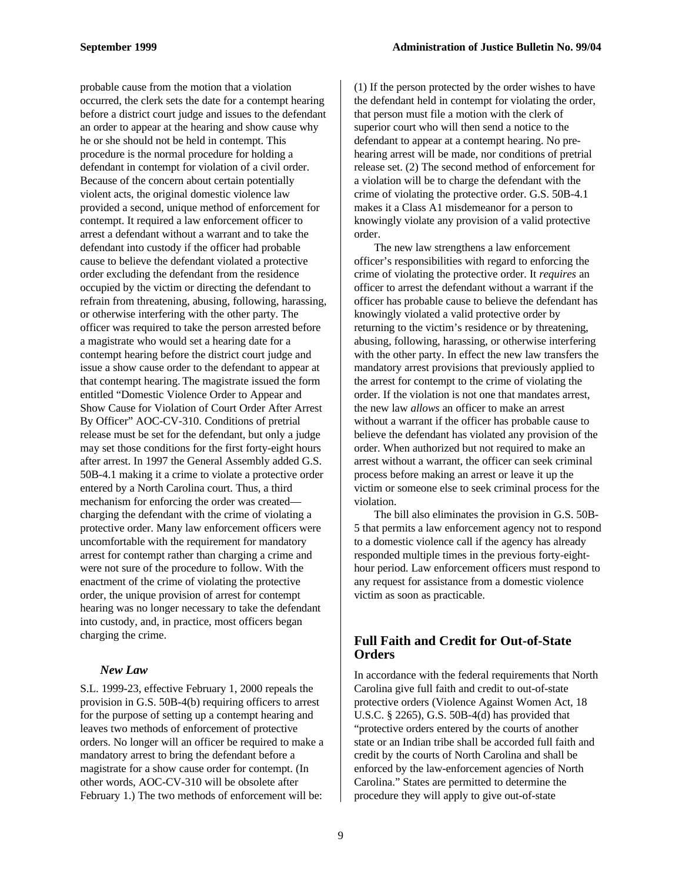probable cause from the motion that a violation occurred, the clerk sets the date for a contempt hearing before a district court judge and issues to the defendant an order to appear at the hearing and show cause why he or she should not be held in contempt. This procedure is the normal procedure for holding a defendant in contempt for violation of a civil order. Because of the concern about certain potentially violent acts, the original domestic violence law provided a second, unique method of enforcement for contempt. It required a law enforcement officer to arrest a defendant without a warrant and to take the defendant into custody if the officer had probable cause to believe the defendant violated a protective order excluding the defendant from the residence occupied by the victim or directing the defendant to refrain from threatening, abusing, following, harassing, or otherwise interfering with the other party. The officer was required to take the person arrested before a magistrate who would set a hearing date for a contempt hearing before the district court judge and issue a show cause order to the defendant to appear at that contempt hearing. The magistrate issued the form entitled "Domestic Violence Order to Appear and Show Cause for Violation of Court Order After Arrest By Officer" AOC-CV-310. Conditions of pretrial release must be set for the defendant, but only a judge may set those conditions for the first forty-eight hours after arrest. In 1997 the General Assembly added G.S. 50B-4.1 making it a crime to violate a protective order entered by a North Carolina court. Thus, a third mechanism for enforcing the order was created charging the defendant with the crime of violating a protective order. Many law enforcement officers were uncomfortable with the requirement for mandatory arrest for contempt rather than charging a crime and were not sure of the procedure to follow. With the enactment of the crime of violating the protective order, the unique provision of arrest for contempt hearing was no longer necessary to take the defendant into custody, and, in practice, most officers began charging the crime.

#### *New Law*

S.L. 1999-23, effective February 1, 2000 repeals the provision in G.S. 50B-4(b) requiring officers to arrest for the purpose of setting up a contempt hearing and leaves two methods of enforcement of protective orders. No longer will an officer be required to make a mandatory arrest to bring the defendant before a magistrate for a show cause order for contempt. (In other words, AOC-CV-310 will be obsolete after February 1.) The two methods of enforcement will be:

(1) If the person protected by the order wishes to have the defendant held in contempt for violating the order, that person must file a motion with the clerk of superior court who will then send a notice to the defendant to appear at a contempt hearing. No prehearing arrest will be made, nor conditions of pretrial release set. (2) The second method of enforcement for a violation will be to charge the defendant with the crime of violating the protective order. G.S. 50B-4.1 makes it a Class A1 misdemeanor for a person to knowingly violate any provision of a valid protective order.

The new law strengthens a law enforcement officer's responsibilities with regard to enforcing the crime of violating the protective order. It *requires* an officer to arrest the defendant without a warrant if the officer has probable cause to believe the defendant has knowingly violated a valid protective order by returning to the victim's residence or by threatening, abusing, following, harassing, or otherwise interfering with the other party. In effect the new law transfers the mandatory arrest provisions that previously applied to the arrest for contempt to the crime of violating the order. If the violation is not one that mandates arrest, the new law *allows* an officer to make an arrest without a warrant if the officer has probable cause to believe the defendant has violated any provision of the order. When authorized but not required to make an arrest without a warrant, the officer can seek criminal process before making an arrest or leave it up the victim or someone else to seek criminal process for the violation.

The bill also eliminates the provision in G.S. 50B-5 that permits a law enforcement agency not to respond to a domestic violence call if the agency has already responded multiple times in the previous forty-eighthour period. Law enforcement officers must respond to any request for assistance from a domestic violence victim as soon as practicable.

#### **Full Faith and Credit for Out-of-State Orders**

In accordance with the federal requirements that North Carolina give full faith and credit to out-of-state protective orders (Violence Against Women Act, 18 U.S.C. § 2265), G.S. 50B-4(d) has provided that "protective orders entered by the courts of another state or an Indian tribe shall be accorded full faith and credit by the courts of North Carolina and shall be enforced by the law-enforcement agencies of North Carolina." States are permitted to determine the procedure they will apply to give out-of-state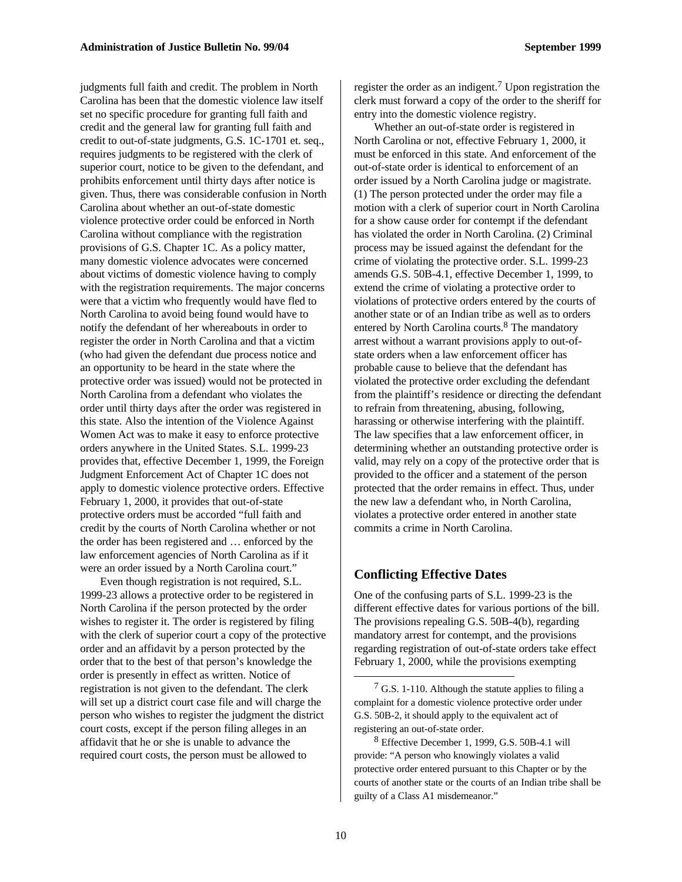judgments full faith and credit. The problem in North Carolina has been that the domestic violence law itself set no specific procedure for granting full faith and credit and the general law for granting full faith and credit to out-of-state judgments, G.S. 1C-1701 et. seq., requires judgments to be registered with the clerk of superior court, notice to be given to the defendant, and prohibits enforcement until thirty days after notice is given. Thus, there was considerable confusion in North Carolina about whether an out-of-state domestic violence protective order could be enforced in North Carolina without compliance with the registration provisions of G.S. Chapter 1C. As a policy matter, many domestic violence advocates were concerned about victims of domestic violence having to comply with the registration requirements. The major concerns were that a victim who frequently would have fled to North Carolina to avoid being found would have to notify the defendant of her whereabouts in order to register the order in North Carolina and that a victim (who had given the defendant due process notice and an opportunity to be heard in the state where the protective order was issued) would not be protected in North Carolina from a defendant who violates the order until thirty days after the order was registered in this state. Also the intention of the Violence Against Women Act was to make it easy to enforce protective orders anywhere in the United States. S.L. 1999-23 provides that, effective December 1, 1999, the Foreign Judgment Enforcement Act of Chapter 1C does not apply to domestic violence protective orders. Effective February 1, 2000, it provides that out-of-state protective orders must be accorded "full faith and credit by the courts of North Carolina whether or not the order has been registered and … enforced by the law enforcement agencies of North Carolina as if it were an order issued by a North Carolina court."

Even though registration is not required, S.L. 1999-23 allows a protective order to be registered in North Carolina if the person protected by the order wishes to register it. The order is registered by filing with the clerk of superior court a copy of the protective order and an affidavit by a person protected by the order that to the best of that person's knowledge the order is presently in effect as written. Notice of registration is not given to the defendant. The clerk will set up a district court case file and will charge the person who wishes to register the judgment the district court costs, except if the person filing alleges in an affidavit that he or she is unable to advance the required court costs, the person must be allowed to

register the order as an indigent.<sup>7</sup> Upon registration the clerk must forward a copy of the order to the sheriff for entry into the domestic violence registry.

Whether an out-of-state order is registered in North Carolina or not, effective February 1, 2000, it must be enforced in this state. And enforcement of the out-of-state order is identical to enforcement of an order issued by a North Carolina judge or magistrate. (1) The person protected under the order may file a motion with a clerk of superior court in North Carolina for a show cause order for contempt if the defendant has violated the order in North Carolina. (2) Criminal process may be issued against the defendant for the crime of violating the protective order. S.L. 1999-23 amends G.S. 50B-4.1, effective December 1, 1999, to extend the crime of violating a protective order to violations of protective orders entered by the courts of another state or of an Indian tribe as well as to orders entered by North Carolina courts.<sup>8</sup> The mandatory arrest without a warrant provisions apply to out-ofstate orders when a law enforcement officer has probable cause to believe that the defendant has violated the protective order excluding the defendant from the plaintiff's residence or directing the defendant to refrain from threatening, abusing, following, harassing or otherwise interfering with the plaintiff. The law specifies that a law enforcement officer, in determining whether an outstanding protective order is valid, may rely on a copy of the protective order that is provided to the officer and a statement of the person protected that the order remains in effect. Thus, under the new law a defendant who, in North Carolina, violates a protective order entered in another state commits a crime in North Carolina.

#### **Conflicting Effective Dates**

One of the confusing parts of S.L. 1999-23 is the different effective dates for various portions of the bill. The provisions repealing G.S. 50B-4(b), regarding mandatory arrest for contempt, and the provisions regarding registration of out-of-state orders take effect February 1, 2000, while the provisions exempting

 $7$  G.S. 1-110. Although the statute applies to filing a complaint for a domestic violence protective order under G.S. 50B-2, it should apply to the equivalent act of registering an out-of-state order.

<sup>8</sup> Effective December 1, 1999, G.S. 50B-4.1 will provide: "A person who knowingly violates a valid protective order entered pursuant to this Chapter or by the courts of another state or the courts of an Indian tribe shall be guilty of a Class A1 misdemeanor."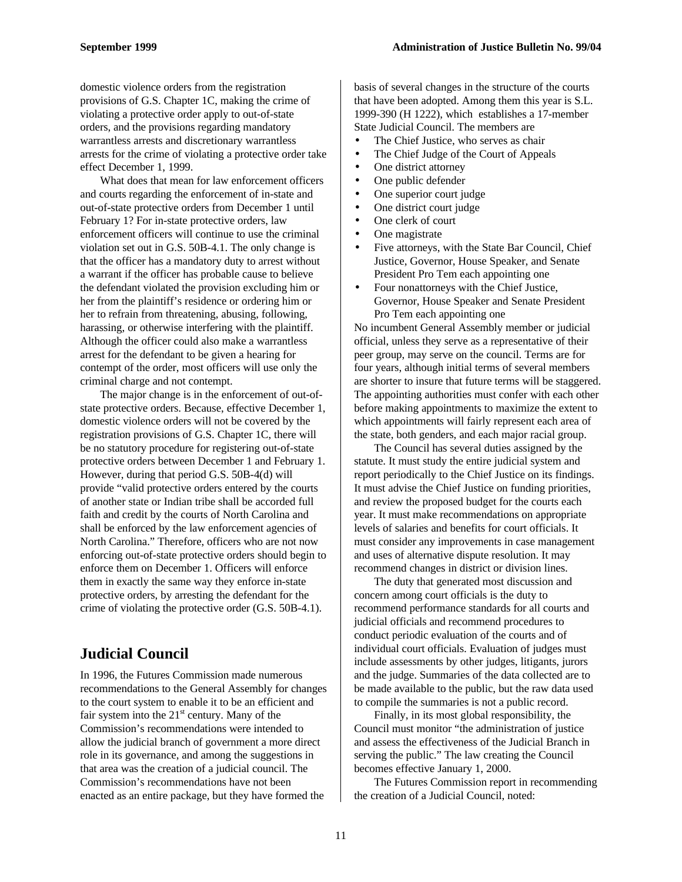domestic violence orders from the registration provisions of G.S. Chapter 1C, making the crime of violating a protective order apply to out-of-state orders, and the provisions regarding mandatory warrantless arrests and discretionary warrantless arrests for the crime of violating a protective order take effect December 1, 1999.

What does that mean for law enforcement officers and courts regarding the enforcement of in-state and out-of-state protective orders from December 1 until February 1? For in-state protective orders, law enforcement officers will continue to use the criminal violation set out in G.S. 50B-4.1. The only change is that the officer has a mandatory duty to arrest without a warrant if the officer has probable cause to believe the defendant violated the provision excluding him or her from the plaintiff's residence or ordering him or her to refrain from threatening, abusing, following, harassing, or otherwise interfering with the plaintiff. Although the officer could also make a warrantless arrest for the defendant to be given a hearing for contempt of the order, most officers will use only the criminal charge and not contempt.

The major change is in the enforcement of out-ofstate protective orders. Because, effective December 1, domestic violence orders will not be covered by the registration provisions of G.S. Chapter 1C, there will be no statutory procedure for registering out-of-state protective orders between December 1 and February 1. However, during that period G.S. 50B-4(d) will provide "valid protective orders entered by the courts of another state or Indian tribe shall be accorded full faith and credit by the courts of North Carolina and shall be enforced by the law enforcement agencies of North Carolina." Therefore, officers who are not now enforcing out-of-state protective orders should begin to enforce them on December 1. Officers will enforce them in exactly the same way they enforce in-state protective orders, by arresting the defendant for the crime of violating the protective order (G.S. 50B-4.1).

#### **Judicial Council**

In 1996, the Futures Commission made numerous recommendations to the General Assembly for changes to the court system to enable it to be an efficient and fair system into the  $21<sup>st</sup>$  century. Many of the Commission's recommendations were intended to allow the judicial branch of government a more direct role in its governance, and among the suggestions in that area was the creation of a judicial council. The Commission's recommendations have not been enacted as an entire package, but they have formed the

basis of several changes in the structure of the courts that have been adopted. Among them this year is S.L. 1999-390 (H 1222), which establishes a 17-member State Judicial Council. The members are

- The Chief Justice, who serves as chair
- The Chief Judge of the Court of Appeals
- One district attorney
- One public defender
- One superior court judge
- One district court judge
- One clerk of court
- One magistrate
- Five attorneys, with the State Bar Council, Chief Justice, Governor, House Speaker, and Senate President Pro Tem each appointing one
- Four nonattorneys with the Chief Justice, Governor, House Speaker and Senate President Pro Tem each appointing one

No incumbent General Assembly member or judicial official, unless they serve as a representative of their peer group, may serve on the council. Terms are for four years, although initial terms of several members are shorter to insure that future terms will be staggered. The appointing authorities must confer with each other before making appointments to maximize the extent to which appointments will fairly represent each area of the state, both genders, and each major racial group.

The Council has several duties assigned by the statute. It must study the entire judicial system and report periodically to the Chief Justice on its findings. It must advise the Chief Justice on funding priorities, and review the proposed budget for the courts each year. It must make recommendations on appropriate levels of salaries and benefits for court officials. It must consider any improvements in case management and uses of alternative dispute resolution. It may recommend changes in district or division lines.

The duty that generated most discussion and concern among court officials is the duty to recommend performance standards for all courts and judicial officials and recommend procedures to conduct periodic evaluation of the courts and of individual court officials. Evaluation of judges must include assessments by other judges, litigants, jurors and the judge. Summaries of the data collected are to be made available to the public, but the raw data used to compile the summaries is not a public record.

Finally, in its most global responsibility, the Council must monitor "the administration of justice and assess the effectiveness of the Judicial Branch in serving the public." The law creating the Council becomes effective January 1, 2000.

The Futures Commission report in recommending the creation of a Judicial Council, noted: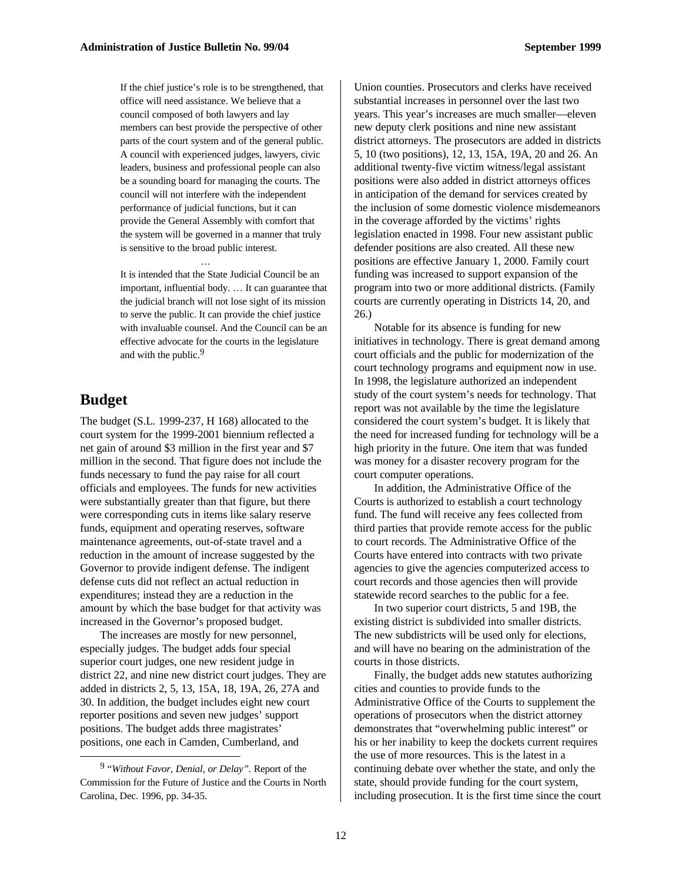If the chief justice's role is to be strengthened, that office will need assistance. We believe that a council composed of both lawyers and lay members can best provide the perspective of other parts of the court system and of the general public. A council with experienced judges, lawyers, civic leaders, business and professional people can also be a sounding board for managing the courts. The council will not interfere with the independent performance of judicial functions, but it can provide the General Assembly with comfort that the system will be governed in a manner that truly is sensitive to the broad public interest.

It is intended that the State Judicial Council be an important, influential body. … It can guarantee that the judicial branch will not lose sight of its mission to serve the public. It can provide the chief justice with invaluable counsel. And the Council can be an effective advocate for the courts in the legislature and with the public.9

…

#### **Budget**

-

The budget (S.L. 1999-237, H 168) allocated to the court system for the 1999-2001 biennium reflected a net gain of around \$3 million in the first year and \$7 million in the second. That figure does not include the funds necessary to fund the pay raise for all court officials and employees. The funds for new activities were substantially greater than that figure, but there were corresponding cuts in items like salary reserve funds, equipment and operating reserves, software maintenance agreements, out-of-state travel and a reduction in the amount of increase suggested by the Governor to provide indigent defense. The indigent defense cuts did not reflect an actual reduction in expenditures; instead they are a reduction in the amount by which the base budget for that activity was increased in the Governor's proposed budget.

The increases are mostly for new personnel, especially judges. The budget adds four special superior court judges, one new resident judge in district 22, and nine new district court judges. They are added in districts 2, 5, 13, 15A, 18, 19A, 26, 27A and 30. In addition, the budget includes eight new court reporter positions and seven new judges' support positions. The budget adds three magistrates' positions, one each in Camden, Cumberland, and

Union counties. Prosecutors and clerks have received substantial increases in personnel over the last two years. This year's increases are much smaller—eleven new deputy clerk positions and nine new assistant district attorneys. The prosecutors are added in districts 5, 10 (two positions), 12, 13, 15A, 19A, 20 and 26. An additional twenty-five victim witness/legal assistant positions were also added in district attorneys offices in anticipation of the demand for services created by the inclusion of some domestic violence misdemeanors in the coverage afforded by the victims' rights legislation enacted in 1998. Four new assistant public defender positions are also created. All these new positions are effective January 1, 2000. Family court funding was increased to support expansion of the program into two or more additional districts. (Family courts are currently operating in Districts 14, 20, and 26.)

Notable for its absence is funding for new initiatives in technology. There is great demand among court officials and the public for modernization of the court technology programs and equipment now in use. In 1998, the legislature authorized an independent study of the court system's needs for technology. That report was not available by the time the legislature considered the court system's budget. It is likely that the need for increased funding for technology will be a high priority in the future. One item that was funded was money for a disaster recovery program for the court computer operations.

In addition, the Administrative Office of the Courts is authorized to establish a court technology fund. The fund will receive any fees collected from third parties that provide remote access for the public to court records. The Administrative Office of the Courts have entered into contracts with two private agencies to give the agencies computerized access to court records and those agencies then will provide statewide record searches to the public for a fee.

In two superior court districts, 5 and 19B, the existing district is subdivided into smaller districts. The new subdistricts will be used only for elections, and will have no bearing on the administration of the courts in those districts.

Finally, the budget adds new statutes authorizing cities and counties to provide funds to the Administrative Office of the Courts to supplement the operations of prosecutors when the district attorney demonstrates that "overwhelming public interest" or his or her inability to keep the dockets current requires the use of more resources. This is the latest in a continuing debate over whether the state, and only the state, should provide funding for the court system, including prosecution. It is the first time since the court

<sup>9</sup> "*Without Favor, Denial, or Delay".* Report of the Commission for the Future of Justice and the Courts in North Carolina, Dec. 1996, pp. 34-35.